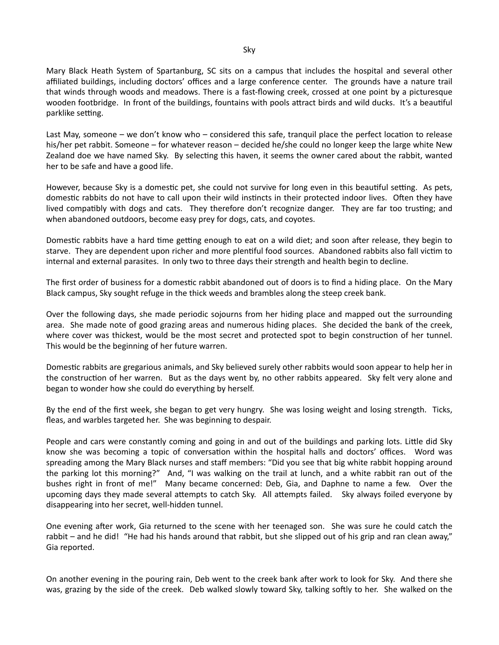Mary Black Heath System of Spartanburg, SC sits on a campus that includes the hospital and several other affiliated buildings, including doctors' offices and a large conference center. The grounds have a nature trail that winds through woods and meadows. There is a fast-flowing creek, crossed at one point by a picturesque wooden footbridge. In front of the buildings, fountains with pools attract birds and wild ducks. It's a beautiful parklike setting.

Last May, someone – we don't know who – considered this safe, tranquil place the perfect location to release his/her pet rabbit. Someone – for whatever reason – decided he/she could no longer keep the large white New Zealand doe we have named Sky. By selecting this haven, it seems the owner cared about the rabbit, wanted her to be safe and have a good life.

However, because Sky is a domestic pet, she could not survive for long even in this beautiful setting. As pets, domestic rabbits do not have to call upon their wild instincts in their protected indoor lives. Often they have lived compatibly with dogs and cats. They therefore don't recognize danger. They are far too trusting; and when abandoned outdoors, become easy prey for dogs, cats, and coyotes.

Domestic rabbits have a hard time getting enough to eat on a wild diet; and soon after release, they begin to starve. They are dependent upon richer and more plentiful food sources. Abandoned rabbits also fall victim to internal and external parasites. In only two to three days their strength and health begin to decline.

The first order of business for a domestic rabbit abandoned out of doors is to find a hiding place. On the Mary Black campus, Sky sought refuge in the thick weeds and brambles along the steep creek bank.

Over the following days, she made periodic sojourns from her hiding place and mapped out the surrounding area. She made note of good grazing areas and numerous hiding places. She decided the bank of the creek, where cover was thickest, would be the most secret and protected spot to begin construction of her tunnel. This would be the beginning of her future warren.

Domestic rabbits are gregarious animals, and Sky believed surely other rabbits would soon appear to help her in the construction of her warren. But as the days went by, no other rabbits appeared. Sky felt very alone and began to wonder how she could do everything by herself.

By the end of the first week, she began to get very hungry. She was losing weight and losing strength. Ticks, fleas, and warbles targeted her. She was beginning to despair.

People and cars were constantly coming and going in and out of the buildings and parking lots. Little did Sky know she was becoming a topic of conversation within the hospital halls and doctors' offices. Word was spreading among the Mary Black nurses and staff members: "Did you see that big white rabbit hopping around the parking lot this morning?" And, "I was walking on the trail at lunch, and a white rabbit ran out of the bushes right in front of me!" Many became concerned: Deb, Gia, and Daphne to name a few. Over the upcoming days they made several attempts to catch Sky. All attempts failed. Sky always foiled everyone by disappearing into her secret, well-hidden tunnel.

One evening after work, Gia returned to the scene with her teenaged son. She was sure he could catch the rabbit – and he did! "He had his hands around that rabbit, but she slipped out of his grip and ran clean away," Gia reported.

On another evening in the pouring rain, Deb went to the creek bank after work to look for Sky. And there she was, grazing by the side of the creek. Deb walked slowly toward Sky, talking softly to her. She walked on the